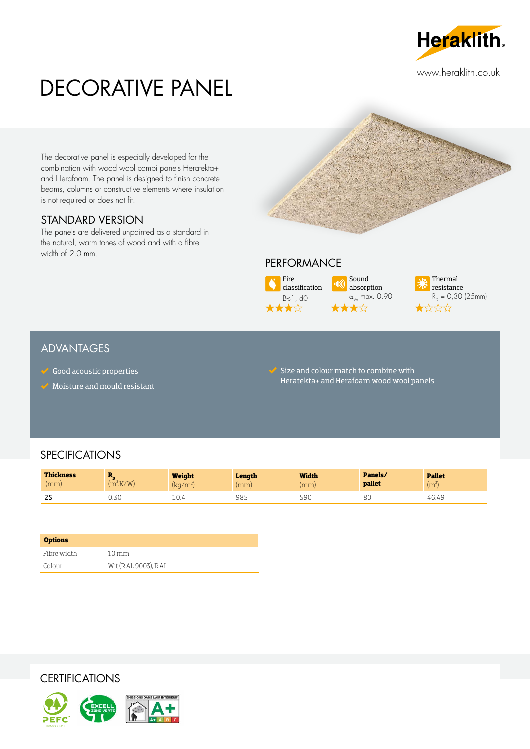

# DECORATIVE PANEL

The decorative panel is especially developed for the combination with wood wool combi panels Heratekta+ and Herafoam. The panel is designed to finish concrete beams, columns or constructive elements where insulation is not required or does not fit.

#### STANDARD VERSION

The panels are delivered unpainted as a standard in the natural, warm tones of wood and with a fibre width of 2.0 mm.

#### PERFORMANCE





#### ADVANTAGES

- $\checkmark$  Good acoustic properties
- Moisture and mould resistant

 $\blacktriangleright$  Size and colour match to combine with Heratekta+ and Herafoam wood wool panels

Sound absorption  $\alpha_{\text{w}}$  max. 0.90

 $\mathbf{r}$ 

மலி

### **SPECIFICATIONS**

| <b>Thickness</b><br>(mm) | <b>COL</b><br>K/W<br>m   | <b>Weight</b><br>$\sqrt{r}$<br>IRU/ III | Length<br>(mm) | <b>Width</b><br>(mm) | Panels/<br>pallet | <b>Pallet</b><br>(m |
|--------------------------|--------------------------|-----------------------------------------|----------------|----------------------|-------------------|---------------------|
| D.C<br>ں ے               | 7 <sup>c</sup><br>∪ ن. ب | Τn.                                     | 985            | $\sim$<br>59U        | 8C                | 46.49               |

| <b>Options</b> |                     |
|----------------|---------------------|
| Fibre width    | $1.0 \,\mathrm{mm}$ |
| Colour         | Wit (RAL 9003), RAL |

**CERTIFICATIONS**